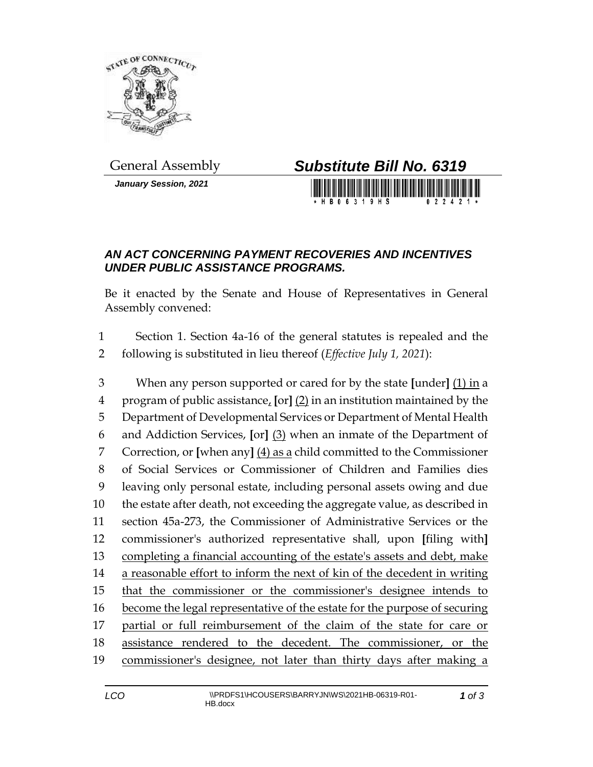

*January Session, 2021*

## General Assembly *Substitute Bill No. 6319*

H R N 6 3 1 9 H S

## *AN ACT CONCERNING PAYMENT RECOVERIES AND INCENTIVES UNDER PUBLIC ASSISTANCE PROGRAMS.*

Be it enacted by the Senate and House of Representatives in General Assembly convened:

 Section 1. Section 4a-16 of the general statutes is repealed and the following is substituted in lieu thereof (*Effective July 1, 2021*):

 When any person supported or cared for by the state **[**under**]** (1) in a program of public assistance, **[**or**]** (2) in an institution maintained by the Department of Developmental Services or Department of Mental Health and Addiction Services, **[**or**]** (3) when an inmate of the Department of Correction, or **[**when any**]** (4) as a child committed to the Commissioner of Social Services or Commissioner of Children and Families dies leaving only personal estate, including personal assets owing and due the estate after death, not exceeding the aggregate value, as described in section 45a-273, the Commissioner of Administrative Services or the commissioner's authorized representative shall, upon **[**filing with**]** completing a financial accounting of the estate's assets and debt, make a reasonable effort to inform the next of kin of the decedent in writing that the commissioner or the commissioner's designee intends to become the legal representative of the estate for the purpose of securing partial or full reimbursement of the claim of the state for care or assistance rendered to the decedent. The commissioner, or the commissioner's designee, not later than thirty days after making a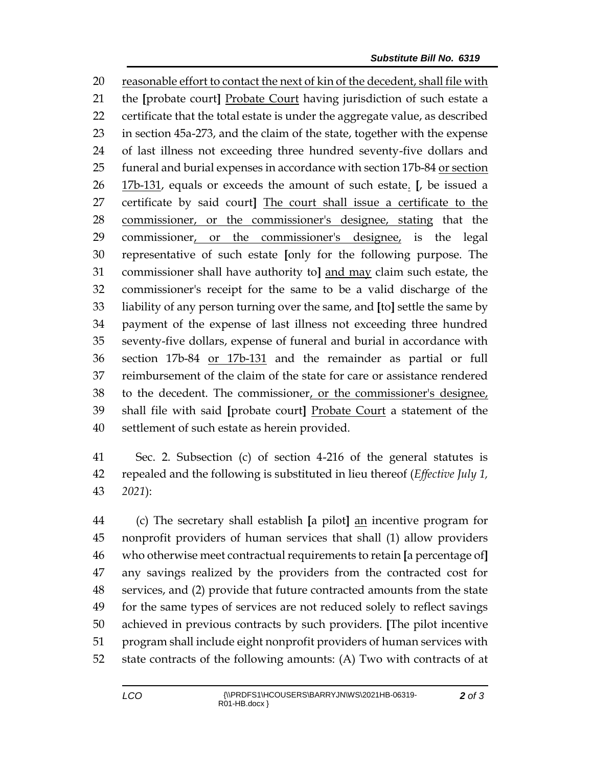reasonable effort to contact the next of kin of the decedent, shall file with the **[**probate court**]** Probate Court having jurisdiction of such estate a certificate that the total estate is under the aggregate value, as described in section 45a-273, and the claim of the state, together with the expense of last illness not exceeding three hundred seventy-five dollars and 25 funeral and burial expenses in accordance with section 17b-84 or section 17b-131, equals or exceeds the amount of such estate. **[**, be issued a certificate by said court**]** The court shall issue a certificate to the commissioner, or the commissioner's designee, stating that the commissioner, or the commissioner's designee, is the legal representative of such estate **[**only for the following purpose. The commissioner shall have authority to**]** and may claim such estate, the commissioner's receipt for the same to be a valid discharge of the liability of any person turning over the same, and **[**to**]** settle the same by payment of the expense of last illness not exceeding three hundred seventy-five dollars, expense of funeral and burial in accordance with section 17b-84 or 17b-131 and the remainder as partial or full reimbursement of the claim of the state for care or assistance rendered to the decedent. The commissioner, or the commissioner's designee, shall file with said **[**probate court**]** Probate Court a statement of the settlement of such estate as herein provided.

 Sec. 2. Subsection (c) of section 4-216 of the general statutes is repealed and the following is substituted in lieu thereof (*Effective July 1, 2021*):

 (c) The secretary shall establish **[**a pilot**]** an incentive program for nonprofit providers of human services that shall (1) allow providers who otherwise meet contractual requirements to retain **[**a percentage of**]** any savings realized by the providers from the contracted cost for services, and (2) provide that future contracted amounts from the state for the same types of services are not reduced solely to reflect savings achieved in previous contracts by such providers. **[**The pilot incentive program shall include eight nonprofit providers of human services with state contracts of the following amounts: (A) Two with contracts of at